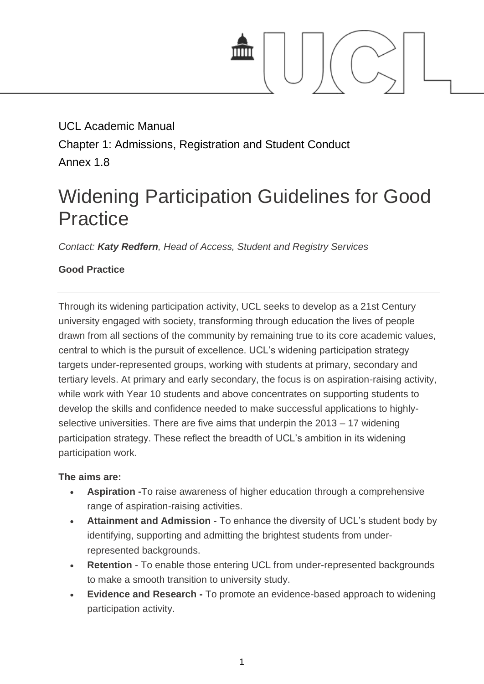

## UCL Academic Manual Chapter 1: Admissions, Registration and Student Conduct Annex 1.8

# Widening Participation Guidelines for Good **Practice**

*Contact: [Katy Redfern](mailto:k.redfern@ucl.ac.uk), Head of Access, Student and Registry Services*

### **Good Practice**

Through its widening participation activity, UCL seeks to develop as a 21st Century university engaged with society, transforming through education the lives of people drawn from all sections of the community by remaining true to its core academic values, central to which is the pursuit of excellence. UCL's widening participation strategy targets under-represented groups, working with students at primary, secondary and tertiary levels. At primary and early secondary, the focus is on aspiration-raising activity, while work with Year 10 students and above concentrates on supporting students to develop the skills and confidence needed to make successful applications to highlyselective universities. There are five aims that underpin the 2013 – 17 widening participation strategy. These reflect the breadth of UCL's ambition in its widening participation work.

#### **The aims are:**

- **Aspiration -**To raise awareness of higher education through a comprehensive range of aspiration-raising activities.
- **Attainment and Admission -** To enhance the diversity of UCL's student body by identifying, supporting and admitting the brightest students from underrepresented backgrounds.
- **Retention** To enable those entering UCL from under-represented backgrounds to make a smooth transition to university study.
- **Evidence and Research -** To promote an evidence-based approach to widening participation activity.